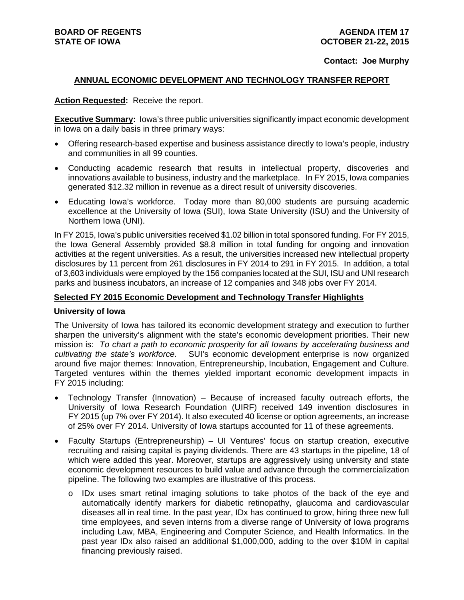#### **Contact: Joe Murphy**

#### **ANNUAL ECONOMIC DEVELOPMENT AND TECHNOLOGY TRANSFER REPORT**

#### **Action Requested:** Receive the report.

**Executive Summary:** Iowa's three public universities significantly impact economic development in Iowa on a daily basis in three primary ways:

- Offering research-based expertise and business assistance directly to Iowa's people, industry and communities in all 99 counties.
- Conducting academic research that results in intellectual property, discoveries and innovations available to business, industry and the marketplace. In FY 2015, Iowa companies generated \$12.32 million in revenue as a direct result of university discoveries.
- Educating Iowa's workforce. Today more than 80,000 students are pursuing academic excellence at the University of Iowa (SUI), Iowa State University (ISU) and the University of Northern Iowa (UNI).

In FY 2015, Iowa's public universities received \$1.02 billion in total sponsored funding. For FY 2015, the Iowa General Assembly provided \$8.8 million in total funding for ongoing and innovation activities at the regent universities. As a result, the universities increased new intellectual property disclosures by 11 percent from 261 disclosures in FY 2014 to 291 in FY 2015. In addition, a total of 3,603 individuals were employed by the 156 companies located at the SUI, ISU and UNI research parks and business incubators, an increase of 12 companies and 348 jobs over FY 2014.

# **Selected FY 2015 Economic Development and Technology Transfer Highlights**

#### **University of Iowa**

The University of Iowa has tailored its economic development strategy and execution to further sharpen the university's alignment with the state's economic development priorities. Their new mission is: *To chart a path to economic prosperity for all Iowans by accelerating business and cultivating the state's workforce.* SUI's economic development enterprise is now organized around five major themes: Innovation, Entrepreneurship, Incubation, Engagement and Culture. Targeted ventures within the themes yielded important economic development impacts in FY 2015 including:

- Technology Transfer (Innovation) Because of increased faculty outreach efforts, the University of Iowa Research Foundation (UIRF) received 149 invention disclosures in FY 2015 (up 7% over FY 2014). It also executed 40 license or option agreements, an increase of 25% over FY 2014. University of Iowa startups accounted for 11 of these agreements.
- Faculty Startups (Entrepreneurship) UI Ventures' focus on startup creation, executive recruiting and raising capital is paying dividends. There are 43 startups in the pipeline, 18 of which were added this year. Moreover, startups are aggressively using university and state economic development resources to build value and advance through the commercialization pipeline. The following two examples are illustrative of this process.
	- o IDx uses smart retinal imaging solutions to take photos of the back of the eye and automatically identify markers for diabetic retinopathy, glaucoma and cardiovascular diseases all in real time. In the past year, IDx has continued to grow, hiring three new full time employees, and seven interns from a diverse range of University of Iowa programs including Law, MBA, Engineering and Computer Science, and Health Informatics. In the past year IDx also raised an additional \$1,000,000, adding to the over \$10M in capital financing previously raised.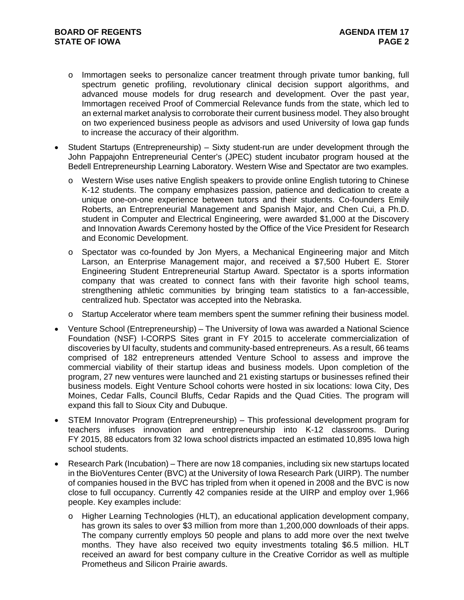- o Immortagen seeks to personalize cancer treatment through private tumor banking, full spectrum genetic profiling, revolutionary clinical decision support algorithms, and advanced mouse models for drug research and development. Over the past year, Immortagen received Proof of Commercial Relevance funds from the state, which led to an external market analysis to corroborate their current business model. They also brought on two experienced business people as advisors and used University of Iowa gap funds to increase the accuracy of their algorithm.
- Student Startups (Entrepreneurship) Sixty student-run are under development through the John Pappajohn Entrepreneurial Center's (JPEC) student incubator program housed at the Bedell Entrepreneurship Learning Laboratory. Western Wise and Spectator are two examples.
	- o Western Wise uses native English speakers to provide online English tutoring to Chinese K-12 students. The company emphasizes passion, patience and dedication to create a unique one-on-one experience between tutors and their students. Co-founders Emily Roberts, an Entrepreneurial Management and Spanish Major, and Chen Cui, a Ph.D. student in Computer and Electrical Engineering, were awarded \$1,000 at the Discovery and Innovation Awards Ceremony hosted by the Office of the Vice President for Research and Economic Development.
	- o Spectator was co-founded by Jon Myers, a Mechanical Engineering major and Mitch Larson, an Enterprise Management major, and received a \$7,500 Hubert E. Storer Engineering Student Entrepreneurial Startup Award. Spectator is a sports information company that was created to connect fans with their favorite high school teams, strengthening athletic communities by bringing team statistics to a fan-accessible, centralized hub. Spectator was accepted into the Nebraska.
	- o Startup Accelerator where team members spent the summer refining their business model.
- Venture School (Entrepreneurship) The University of Iowa was awarded a National Science Foundation (NSF) I-CORPS Sites grant in FY 2015 to accelerate commercialization of discoveries by UI faculty, students and community-based entrepreneurs. As a result, 66 teams comprised of 182 entrepreneurs attended Venture School to assess and improve the commercial viability of their startup ideas and business models. Upon completion of the program, 27 new ventures were launched and 21 existing startups or businesses refined their business models. Eight Venture School cohorts were hosted in six locations: Iowa City, Des Moines, Cedar Falls, Council Bluffs, Cedar Rapids and the Quad Cities. The program will expand this fall to Sioux City and Dubuque.
- STEM Innovator Program (Entrepreneurship) This professional development program for teachers infuses innovation and entrepreneurship into K-12 classrooms. During FY 2015, 88 educators from 32 Iowa school districts impacted an estimated 10,895 Iowa high school students.
- Research Park (Incubation) There are now 18 companies, including six new startups located in the BioVentures Center (BVC) at the University of Iowa Research Park (UIRP). The number of companies housed in the BVC has tripled from when it opened in 2008 and the BVC is now close to full occupancy. Currently 42 companies reside at the UIRP and employ over 1,966 people. Key examples include:
	- o Higher Learning Technologies (HLT), an educational application development company, has grown its sales to over \$3 million from more than 1,200,000 downloads of their apps. The company currently employs 50 people and plans to add more over the next twelve months. They have also received two equity investments totaling \$6.5 million. HLT received an award for best company culture in the Creative Corridor as well as multiple Prometheus and Silicon Prairie awards.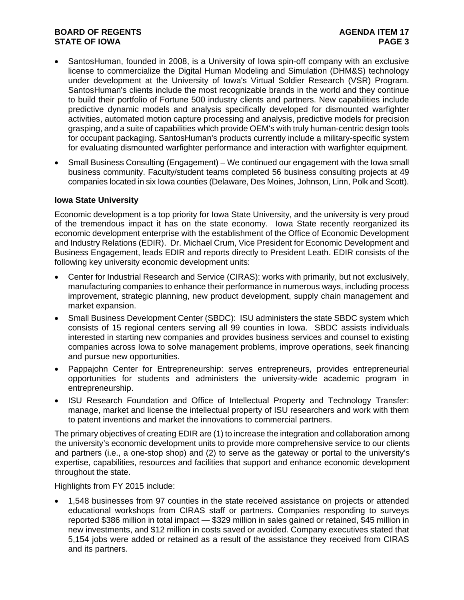# **BOARD OF REGENTS AGENUS AGENDA ITEM 17 STATE OF IOWA** PAGE 3

- SantosHuman, founded in 2008, is a University of Iowa spin-off company with an exclusive license to commercialize the Digital Human Modeling and Simulation (DHM&S) technology under development at the University of Iowa's Virtual Soldier Research (VSR) Program. SantosHuman's clients include the most recognizable brands in the world and they continue to build their portfolio of Fortune 500 industry clients and partners. New capabilities include predictive dynamic models and analysis specifically developed for dismounted warfighter activities, automated motion capture processing and analysis, predictive models for precision grasping, and a suite of capabilities which provide OEM's with truly human-centric design tools for occupant packaging. SantosHuman's products currently include a military-specific system for evaluating dismounted warfighter performance and interaction with warfighter equipment.
- Small Business Consulting (Engagement) We continued our engagement with the Iowa small business community. Faculty/student teams completed 56 business consulting projects at 49 companies located in six Iowa counties (Delaware, Des Moines, Johnson, Linn, Polk and Scott).

### **Iowa State University**

Economic development is a top priority for Iowa State University, and the university is very proud of the tremendous impact it has on the state economy. Iowa State recently reorganized its economic development enterprise with the establishment of the Office of Economic Development and Industry Relations (EDIR). Dr. Michael Crum, Vice President for Economic Development and Business Engagement, leads EDIR and reports directly to President Leath. EDIR consists of the following key university economic development units:

- Center for Industrial Research and Service (CIRAS): works with primarily, but not exclusively, manufacturing companies to enhance their performance in numerous ways, including process improvement, strategic planning, new product development, supply chain management and market expansion.
- Small Business Development Center (SBDC): ISU administers the state SBDC system which consists of 15 regional centers serving all 99 counties in Iowa. SBDC assists individuals interested in starting new companies and provides business services and counsel to existing companies across Iowa to solve management problems, improve operations, seek financing and pursue new opportunities.
- Pappajohn Center for Entrepreneurship: serves entrepreneurs, provides entrepreneurial opportunities for students and administers the university-wide academic program in entrepreneurship.
- ISU Research Foundation and Office of Intellectual Property and Technology Transfer: manage, market and license the intellectual property of ISU researchers and work with them to patent inventions and market the innovations to commercial partners.

The primary objectives of creating EDIR are (1) to increase the integration and collaboration among the university's economic development units to provide more comprehensive service to our clients and partners (i.e., a one-stop shop) and (2) to serve as the gateway or portal to the university's expertise, capabilities, resources and facilities that support and enhance economic development throughout the state.

Highlights from FY 2015 include:

 1,548 businesses from 97 counties in the state received assistance on projects or attended educational workshops from CIRAS staff or partners. Companies responding to surveys reported \$386 million in total impact — \$329 million in sales gained or retained, \$45 million in new investments, and \$12 million in costs saved or avoided. Company executives stated that 5,154 jobs were added or retained as a result of the assistance they received from CIRAS and its partners.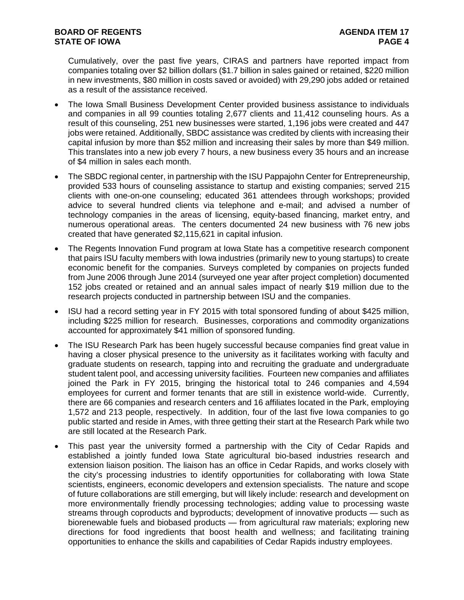Cumulatively, over the past five years, CIRAS and partners have reported impact from companies totaling over \$2 billion dollars (\$1.7 billion in sales gained or retained, \$220 million in new investments, \$80 million in costs saved or avoided) with 29,290 jobs added or retained as a result of the assistance received.

- The Iowa Small Business Development Center provided business assistance to individuals and companies in all 99 counties totaling 2,677 clients and 11,412 counseling hours. As a result of this counseling, 251 new businesses were started, 1,196 jobs were created and 447 jobs were retained. Additionally, SBDC assistance was credited by clients with increasing their capital infusion by more than \$52 million and increasing their sales by more than \$49 million. This translates into a new job every 7 hours, a new business every 35 hours and an increase of \$4 million in sales each month.
- The SBDC regional center, in partnership with the ISU Pappajohn Center for Entrepreneurship, provided 533 hours of counseling assistance to startup and existing companies; served 215 clients with one-on-one counseling; educated 361 attendees through workshops; provided advice to several hundred clients via telephone and e-mail; and advised a number of technology companies in the areas of licensing, equity-based financing, market entry, and numerous operational areas. The centers documented 24 new business with 76 new jobs created that have generated \$2,115,621 in capital infusion.
- The Regents Innovation Fund program at Iowa State has a competitive research component that pairs ISU faculty members with Iowa industries (primarily new to young startups) to create economic benefit for the companies. Surveys completed by companies on projects funded from June 2006 through June 2014 (surveyed one year after project completion) documented 152 jobs created or retained and an annual sales impact of nearly \$19 million due to the research projects conducted in partnership between ISU and the companies.
- ISU had a record setting year in FY 2015 with total sponsored funding of about \$425 million, including \$225 million for research. Businesses, corporations and commodity organizations accounted for approximately \$41 million of sponsored funding.
- The ISU Research Park has been hugely successful because companies find great value in having a closer physical presence to the university as it facilitates working with faculty and graduate students on research, tapping into and recruiting the graduate and undergraduate student talent pool, and accessing university facilities. Fourteen new companies and affiliates joined the Park in FY 2015, bringing the historical total to 246 companies and 4,594 employees for current and former tenants that are still in existence world-wide. Currently, there are 66 companies and research centers and 16 affiliates located in the Park, employing 1,572 and 213 people, respectively. In addition, four of the last five Iowa companies to go public started and reside in Ames, with three getting their start at the Research Park while two are still located at the Research Park.
- This past year the university formed a partnership with the City of Cedar Rapids and established a jointly funded Iowa State agricultural bio-based industries research and extension liaison position. The liaison has an office in Cedar Rapids, and works closely with the city's processing industries to identify opportunities for collaborating with Iowa State scientists, engineers, economic developers and extension specialists. The nature and scope of future collaborations are still emerging, but will likely include: research and development on more environmentally friendly processing technologies; adding value to processing waste streams through coproducts and byproducts; development of innovative products — such as biorenewable fuels and biobased products — from agricultural raw materials; exploring new directions for food ingredients that boost health and wellness; and facilitating training opportunities to enhance the skills and capabilities of Cedar Rapids industry employees.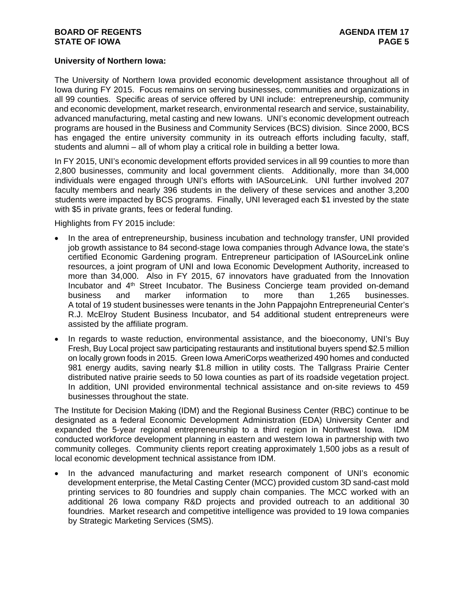### **University of Northern Iowa:**

The University of Northern Iowa provided economic development assistance throughout all of Iowa during FY 2015. Focus remains on serving businesses, communities and organizations in all 99 counties. Specific areas of service offered by UNI include: entrepreneurship, community and economic development, market research, environmental research and service, sustainability, advanced manufacturing, metal casting and new Iowans. UNI's economic development outreach programs are housed in the Business and Community Services (BCS) division. Since 2000, BCS has engaged the entire university community in its outreach efforts including faculty, staff, students and alumni – all of whom play a critical role in building a better Iowa.

In FY 2015, UNI's economic development efforts provided services in all 99 counties to more than 2,800 businesses, community and local government clients. Additionally, more than 34,000 individuals were engaged through UNI's efforts with IASourceLink. UNI further involved 207 faculty members and nearly 396 students in the delivery of these services and another 3,200 students were impacted by BCS programs. Finally, UNI leveraged each \$1 invested by the state with \$5 in private grants, fees or federal funding.

Highlights from FY 2015 include:

- In the area of entrepreneurship, business incubation and technology transfer, UNI provided job growth assistance to 84 second-stage Iowa companies through Advance Iowa, the state's certified Economic Gardening program. Entrepreneur participation of IASourceLink online resources, a joint program of UNI and Iowa Economic Development Authority, increased to more than 34,000. Also in FY 2015, 67 innovators have graduated from the Innovation Incubator and 4<sup>th</sup> Street Incubator. The Business Concierge team provided on-demand business and marker information to more than 1,265 businesses. A total of 19 student businesses were tenants in the John Pappajohn Entrepreneurial Center's R.J. McElroy Student Business Incubator, and 54 additional student entrepreneurs were assisted by the affiliate program.
- In regards to waste reduction, environmental assistance, and the bioeconomy, UNI's Buy Fresh, Buy Local project saw participating restaurants and institutional buyers spend \$2.5 million on locally grown foods in 2015. Green Iowa AmeriCorps weatherized 490 homes and conducted 981 energy audits, saving nearly \$1.8 million in utility costs. The Tallgrass Prairie Center distributed native prairie seeds to 50 Iowa counties as part of its roadside vegetation project. In addition, UNI provided environmental technical assistance and on-site reviews to 459 businesses throughout the state.

The Institute for Decision Making (IDM) and the Regional Business Center (RBC) continue to be designated as a federal Economic Development Administration (EDA) University Center and expanded the 5-year regional entrepreneurship to a third region in Northwest Iowa. IDM conducted workforce development planning in eastern and western Iowa in partnership with two community colleges. Community clients report creating approximately 1,500 jobs as a result of local economic development technical assistance from IDM.

 In the advanced manufacturing and market research component of UNI's economic development enterprise, the Metal Casting Center (MCC) provided custom 3D sand-cast mold printing services to 80 foundries and supply chain companies. The MCC worked with an additional 26 Iowa company R&D projects and provided outreach to an additional 30 foundries. Market research and competitive intelligence was provided to 19 Iowa companies by Strategic Marketing Services (SMS).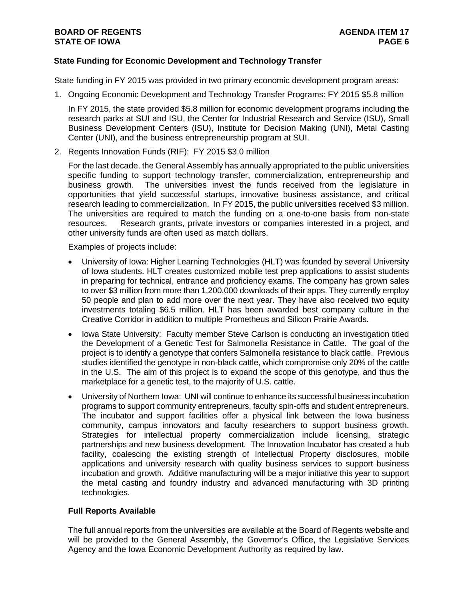## **BOARD OF REGENTS AGENUS AGENDA ITEM 17 STATE OF IOWA** PAGE 6 **PAGE 6**

# **State Funding for Economic Development and Technology Transfer**

State funding in FY 2015 was provided in two primary economic development program areas:

1. Ongoing Economic Development and Technology Transfer Programs: FY 2015 \$5.8 million

In FY 2015, the state provided \$5.8 million for economic development programs including the research parks at SUI and ISU, the Center for Industrial Research and Service (ISU), Small Business Development Centers (ISU), Institute for Decision Making (UNI), Metal Casting Center (UNI), and the business entrepreneurship program at SUI.

2. Regents Innovation Funds (RIF): FY 2015 \$3.0 million

For the last decade, the General Assembly has annually appropriated to the public universities specific funding to support technology transfer, commercialization, entrepreneurship and business growth. The universities invest the funds received from the legislature in opportunities that yield successful startups, innovative business assistance, and critical research leading to commercialization. In FY 2015, the public universities received \$3 million. The universities are required to match the funding on a one-to-one basis from non-state resources. Research grants, private investors or companies interested in a project, and other university funds are often used as match dollars.

Examples of projects include:

- University of Iowa: Higher Learning Technologies (HLT) was founded by several University of Iowa students. HLT creates customized mobile test prep applications to assist students in preparing for technical, entrance and proficiency exams. The company has grown sales to over \$3 million from more than 1,200,000 downloads of their apps. They currently employ 50 people and plan to add more over the next year. They have also received two equity investments totaling \$6.5 million. HLT has been awarded best company culture in the Creative Corridor in addition to multiple Prometheus and Silicon Prairie Awards.
- Iowa State University: Faculty member Steve Carlson is conducting an investigation titled the Development of a Genetic Test for Salmonella Resistance in Cattle. The goal of the project is to identify a genotype that confers Salmonella resistance to black cattle. Previous studies identified the genotype in non-black cattle, which compromise only 20% of the cattle in the U.S. The aim of this project is to expand the scope of this genotype, and thus the marketplace for a genetic test, to the majority of U.S. cattle.
- University of Northern Iowa: UNI will continue to enhance its successful business incubation programs to support community entrepreneurs, faculty spin-offs and student entrepreneurs. The incubator and support facilities offer a physical link between the Iowa business community, campus innovators and faculty researchers to support business growth. Strategies for intellectual property commercialization include licensing, strategic partnerships and new business development. The Innovation Incubator has created a hub facility, coalescing the existing strength of Intellectual Property disclosures, mobile applications and university research with quality business services to support business incubation and growth. Additive manufacturing will be a major initiative this year to support the metal casting and foundry industry and advanced manufacturing with 3D printing technologies.

# **Full Reports Available**

The full annual reports from the universities are available at the Board of Regents website and will be provided to the General Assembly, the Governor's Office, the Legislative Services Agency and the Iowa Economic Development Authority as required by law.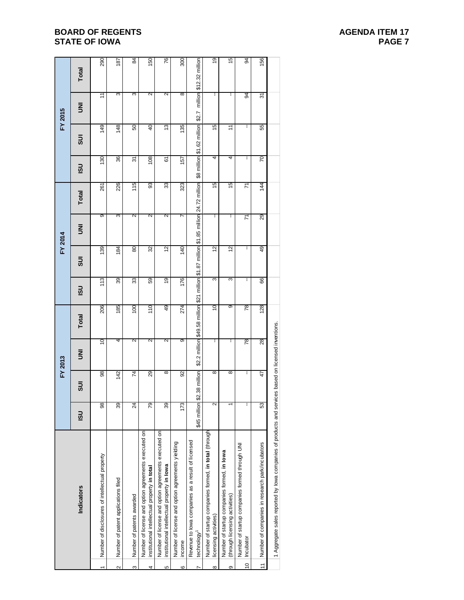# **BOARD OF REGENTS STATE OF IOWA**

| AGENDA ITEM 17 |               |  |
|----------------|---------------|--|
|                | <b>PAGE 7</b> |  |